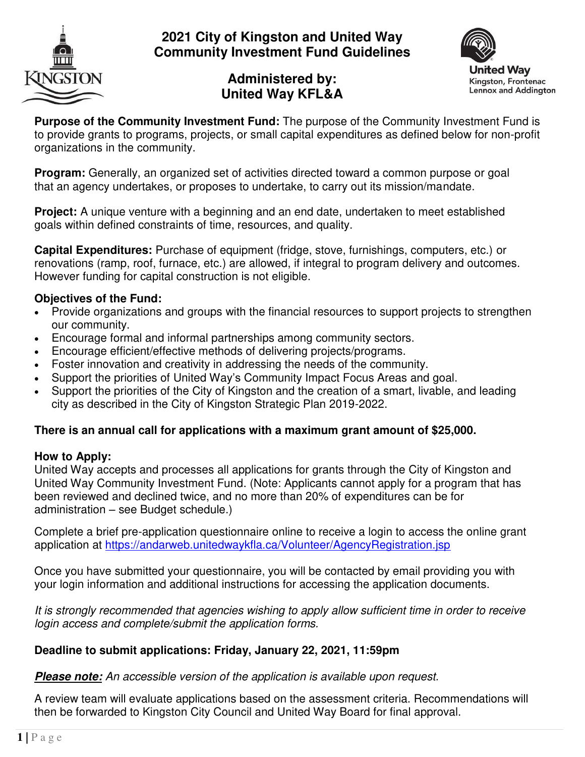

## **2021 City of Kingston and United Way Community Investment Fund Guidelines**



# **Administered by: United Way KFL&A**

**Purpose of the Community Investment Fund:** The purpose of the Community Investment Fund is to provide grants to programs, projects, or small capital expenditures as defined below for non-profit organizations in the community.

**Program:** Generally, an organized set of activities directed toward a common purpose or goal that an agency undertakes, or proposes to undertake, to carry out its mission/mandate.

**Project:** A unique venture with a beginning and an end date, undertaken to meet established goals within defined constraints of time, resources, and quality.

**Capital Expenditures:** Purchase of equipment (fridge, stove, furnishings, computers, etc.) or renovations (ramp, roof, furnace, etc.) are allowed, if integral to program delivery and outcomes. However funding for capital construction is not eligible.

#### **Objectives of the Fund:**

- Provide organizations and groups with the financial resources to support projects to strengthen our community.
- Encourage formal and informal partnerships among community sectors.
- Encourage efficient/effective methods of delivering projects/programs.
- Foster innovation and creativity in addressing the needs of the community.
- Support the priorities of United Way's Community Impact Focus Areas and goal.
- Support the priorities of the City of Kingston and the creation of a smart, livable, and leading city as described in the City of Kingston Strategic Plan 2019-2022.

#### **There is an annual call for applications with a maximum grant amount of \$25,000.**

#### **How to Apply:**

United Way accepts and processes all applications for grants through the City of Kingston and United Way Community Investment Fund. (Note: Applicants cannot apply for a program that has been reviewed and declined twice, and no more than 20% of expenditures can be for administration – see Budget schedule.)

Complete a brief pre-application questionnaire online to receive a login to access the online grant application at<https://andarweb.unitedwaykfla.ca/Volunteer/AgencyRegistration.jsp>

Once you have submitted your questionnaire, you will be contacted by email providing you with your login information and additional instructions for accessing the application documents.

*It is strongly recommended that agencies wishing to apply allow sufficient time in order to receive login access and complete/submit the application forms.* 

#### **Deadline to submit applications: Friday, January 22, 2021, 11:59pm**

*Please note: An accessible version of the application is available upon request.* 

A review team will evaluate applications based on the assessment criteria. Recommendations will then be forwarded to Kingston City Council and United Way Board for final approval.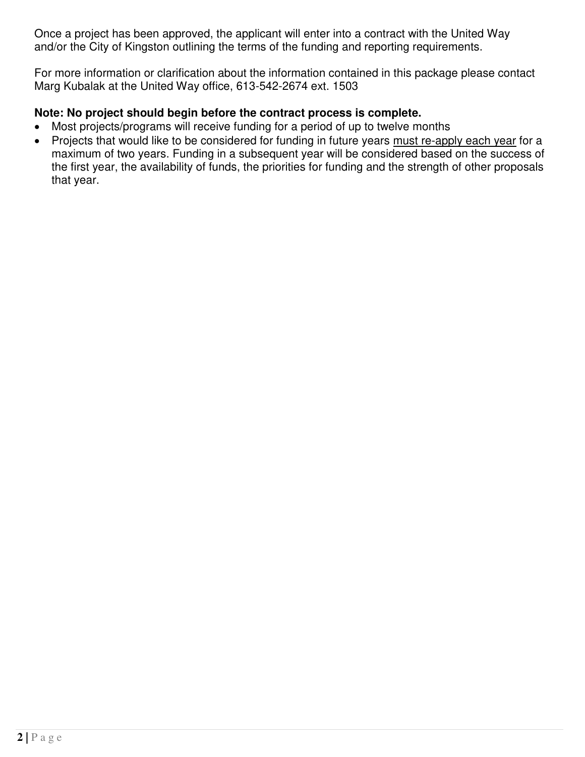Once a project has been approved, the applicant will enter into a contract with the United Way and/or the City of Kingston outlining the terms of the funding and reporting requirements.

For more information or clarification about the information contained in this package please contact Marg Kubalak at the United Way office, 613-542-2674 ext. 1503

#### **Note: No project should begin before the contract process is complete.**

- Most projects/programs will receive funding for a period of up to twelve months
- Projects that would like to be considered for funding in future years must re-apply each year for a maximum of two years. Funding in a subsequent year will be considered based on the success of the first year, the availability of funds, the priorities for funding and the strength of other proposals that year.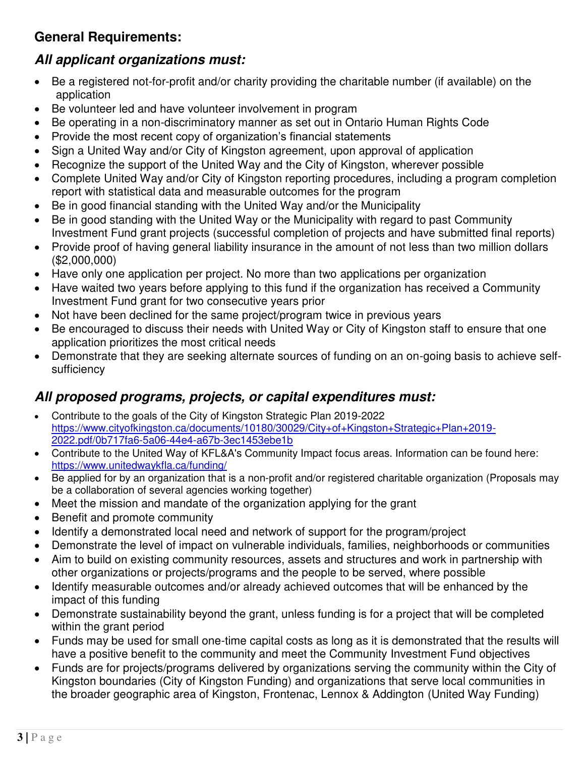# **General Requirements:**

# *All applicant organizations must:*

- Be a registered not-for-profit and/or charity providing the charitable number (if available) on the application
- Be volunteer led and have volunteer involvement in program
- Be operating in a non-discriminatory manner as set out in Ontario Human Rights Code
- Provide the most recent copy of organization's financial statements
- Sign a United Way and/or City of Kingston agreement, upon approval of application
- Recognize the support of the United Way and the City of Kingston, wherever possible
- Complete United Way and/or City of Kingston reporting procedures, including a program completion report with statistical data and measurable outcomes for the program
- Be in good financial standing with the United Way and/or the Municipality
- Be in good standing with the United Way or the Municipality with regard to past Community Investment Fund grant projects (successful completion of projects and have submitted final reports)
- Provide proof of having general liability insurance in the amount of not less than two million dollars (\$2,000,000)
- Have only one application per project. No more than two applications per organization
- Have waited two years before applying to this fund if the organization has received a Community Investment Fund grant for two consecutive years prior
- Not have been declined for the same project/program twice in previous years
- Be encouraged to discuss their needs with United Way or City of Kingston staff to ensure that one application prioritizes the most critical needs
- Demonstrate that they are seeking alternate sources of funding on an on-going basis to achieve selfsufficiency

# *All proposed programs, projects, or capital expenditures must:*

- Contribute to the goals of the City of Kingston Strategic Plan 2019-2022 [https://www.cityofkingston.ca/documents/10180/30029/City+of+Kingston+Strategic+Plan+2019-](https://www.cityofkingston.ca/documents/10180/30029/City+of+Kingston+Strategic+Plan+2019-2022.pdf/0b717fa6-5a06-44e4-a67b-3ec1453ebe1b) [2022.pdf/0b717fa6-5a06-44e4-a67b-3ec1453ebe1b](https://www.cityofkingston.ca/documents/10180/30029/City+of+Kingston+Strategic+Plan+2019-2022.pdf/0b717fa6-5a06-44e4-a67b-3ec1453ebe1b)
- Contribute to the United Way of KFL&A's Community Impact focus areas. Information can be found here: <https://www.unitedwaykfla.ca/funding/>
- Be applied for by an organization that is a non-profit and/or registered charitable organization (Proposals may be a collaboration of several agencies working together)
- Meet the mission and mandate of the organization applying for the grant
- Benefit and promote community
- Identify a demonstrated local need and network of support for the program/project
- Demonstrate the level of impact on vulnerable individuals, families, neighborhoods or communities
- Aim to build on existing community resources, assets and structures and work in partnership with other organizations or projects/programs and the people to be served, where possible
- Identify measurable outcomes and/or already achieved outcomes that will be enhanced by the impact of this funding
- Demonstrate sustainability beyond the grant, unless funding is for a project that will be completed within the grant period
- Funds may be used for small one-time capital costs as long as it is demonstrated that the results will have a positive benefit to the community and meet the Community Investment Fund objectives
- Funds are for projects/programs delivered by organizations serving the community within the City of Kingston boundaries (City of Kingston Funding) and organizations that serve local communities in the broader geographic area of Kingston, Frontenac, Lennox & Addington (United Way Funding)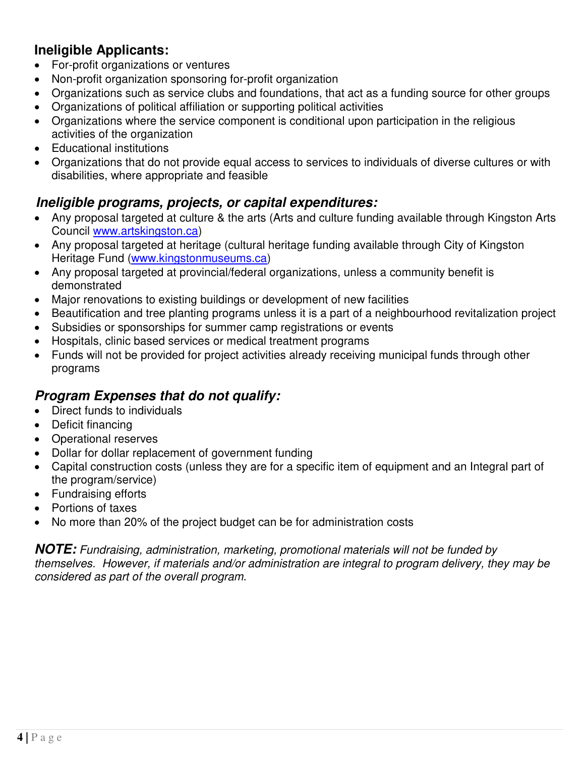# **Ineligible Applicants:**

- For-profit organizations or ventures
- Non-profit organization sponsoring for-profit organization
- Organizations such as service clubs and foundations, that act as a funding source for other groups
- Organizations of political affiliation or supporting political activities
- Organizations where the service component is conditional upon participation in the religious activities of the organization
- Educational institutions
- Organizations that do not provide equal access to services to individuals of diverse cultures or with disabilities, where appropriate and feasible

## *Ineligible programs, projects, or capital expenditures:*

- Any proposal targeted at culture & the arts (Arts and culture funding available through Kingston Arts Council [www.artskingston.ca\)](http://www.artskingston.ca/)
- Any proposal targeted at heritage (cultural heritage funding available through City of Kingston Heritage Fund [\(www.kingstonmuseums.ca\)](http://www.kingstonmuseums.ca/)
- Any proposal targeted at provincial/federal organizations, unless a community benefit is demonstrated
- Major renovations to existing buildings or development of new facilities
- Beautification and tree planting programs unless it is a part of a neighbourhood revitalization project
- Subsidies or sponsorships for summer camp registrations or events
- Hospitals, clinic based services or medical treatment programs
- Funds will not be provided for project activities already receiving municipal funds through other programs

# *Program Expenses that do not qualify:*

- Direct funds to individuals
- Deficit financing
- Operational reserves
- Dollar for dollar replacement of government funding
- Capital construction costs (unless they are for a specific item of equipment and an Integral part of the program/service)
- Fundraising efforts
- Portions of taxes
- No more than 20% of the project budget can be for administration costs

*NOTE: Fundraising, administration, marketing, promotional materials will not be funded by themselves. However, if materials and/or administration are integral to program delivery, they may be considered as part of the overall program.*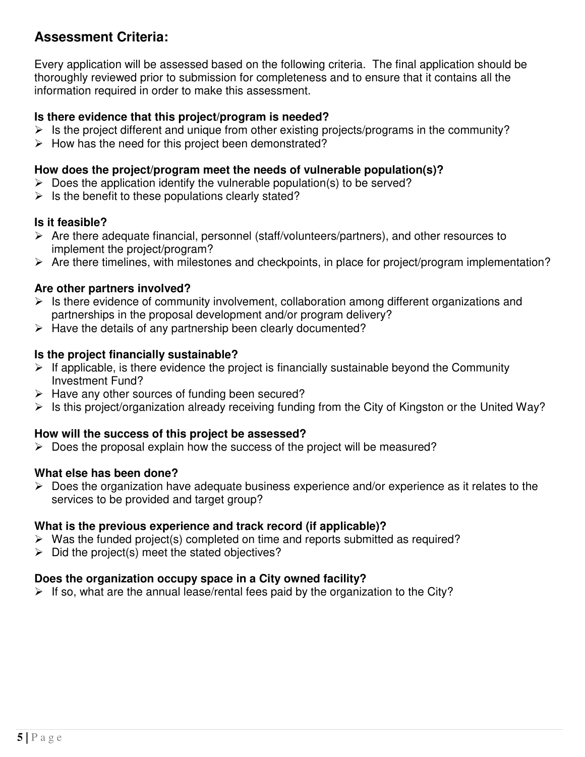## **Assessment Criteria:**

Every application will be assessed based on the following criteria. The final application should be thoroughly reviewed prior to submission for completeness and to ensure that it contains all the information required in order to make this assessment.

#### **Is there evidence that this project/program is needed?**

- $\triangleright$  Is the project different and unique from other existing projects/programs in the community?
- $\triangleright$  How has the need for this project been demonstrated?

#### **How does the project/program meet the needs of vulnerable population(s)?**

- $\triangleright$  Does the application identify the vulnerable population(s) to be served?
- $\triangleright$  Is the benefit to these populations clearly stated?

#### **Is it feasible?**

- Are there adequate financial, personnel (staff/volunteers/partners), and other resources to implement the project/program?
- $\triangleright$  Are there timelines, with milestones and checkpoints, in place for project/program implementation?

#### **Are other partners involved?**

- $\triangleright$  Is there evidence of community involvement, collaboration among different organizations and partnerships in the proposal development and/or program delivery?
- $\triangleright$  Have the details of any partnership been clearly documented?

#### **Is the project financially sustainable?**

- $\triangleright$  If applicable, is there evidence the project is financially sustainable beyond the Community Investment Fund?
- $\triangleright$  Have any other sources of funding been secured?
- $\triangleright$  Is this project/organization already receiving funding from the City of Kingston or the United Way?

#### **How will the success of this project be assessed?**

 $\triangleright$  Does the proposal explain how the success of the project will be measured?

#### **What else has been done?**

 $\triangleright$  Does the organization have adequate business experience and/or experience as it relates to the services to be provided and target group?

#### **What is the previous experience and track record (if applicable)?**

- $\triangleright$  Was the funded project(s) completed on time and reports submitted as required?
- $\triangleright$  Did the project(s) meet the stated objectives?

#### **Does the organization occupy space in a City owned facility?**

 $\triangleright$  If so, what are the annual lease/rental fees paid by the organization to the City?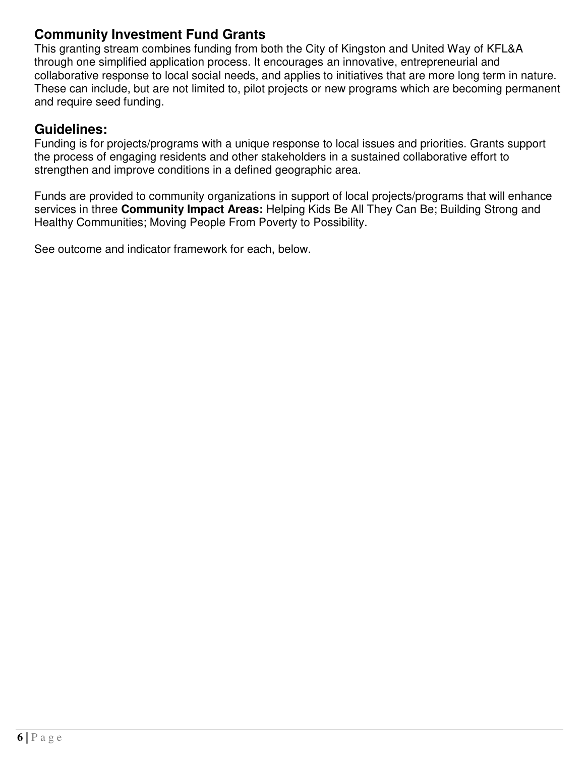## **Community Investment Fund Grants**

This granting stream combines funding from both the City of Kingston and United Way of KFL&A through one simplified application process. It encourages an innovative, entrepreneurial and collaborative response to local social needs, and applies to initiatives that are more long term in nature. These can include, but are not limited to, pilot projects or new programs which are becoming permanent and require seed funding.

## **Guidelines:**

Funding is for projects/programs with a unique response to local issues and priorities. Grants support the process of engaging residents and other stakeholders in a sustained collaborative effort to strengthen and improve conditions in a defined geographic area.

Funds are provided to community organizations in support of local projects/programs that will enhance services in three **Community Impact Areas:** Helping Kids Be All They Can Be; Building Strong and Healthy Communities; Moving People From Poverty to Possibility.

See outcome and indicator framework for each, below.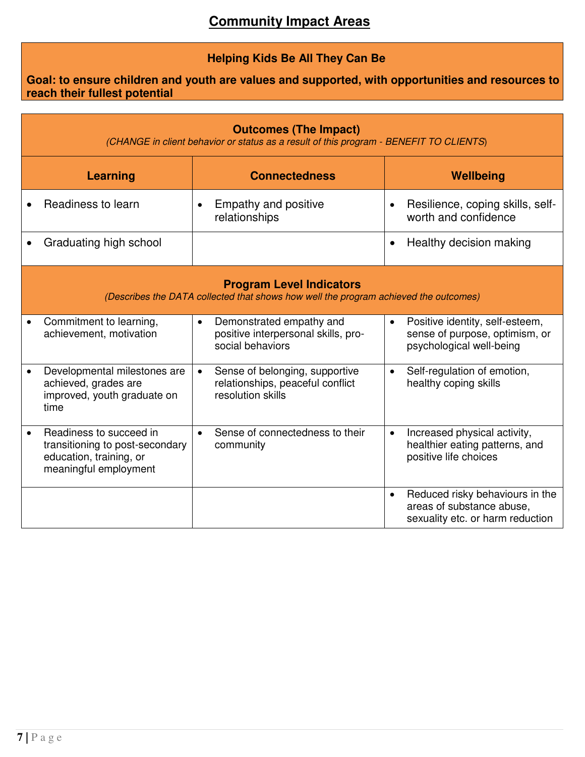### **Helping Kids Be All They Can Be**

#### **Goal: to ensure children and youth are values and supported, with opportunities and resources to reach their fullest potential**

| <b>Outcomes (The Impact)</b><br>(CHANGE in client behavior or status as a result of this program - BENEFIT TO CLIENTS)  |                                                                                                                |                                                                                                      |                                                                                                               |  |  |  |
|-------------------------------------------------------------------------------------------------------------------------|----------------------------------------------------------------------------------------------------------------|------------------------------------------------------------------------------------------------------|---------------------------------------------------------------------------------------------------------------|--|--|--|
|                                                                                                                         | <b>Learning</b>                                                                                                | <b>Connectedness</b>                                                                                 | Wellbeing                                                                                                     |  |  |  |
|                                                                                                                         | Readiness to learn                                                                                             | Empathy and positive<br>$\bullet$<br>relationships                                                   | Resilience, coping skills, self-<br>worth and confidence                                                      |  |  |  |
|                                                                                                                         | Graduating high school                                                                                         |                                                                                                      | Healthy decision making<br>$\bullet$                                                                          |  |  |  |
| <b>Program Level Indicators</b><br>(Describes the DATA collected that shows how well the program achieved the outcomes) |                                                                                                                |                                                                                                      |                                                                                                               |  |  |  |
|                                                                                                                         | Commitment to learning,<br>achievement, motivation                                                             | Demonstrated empathy and<br>$\bullet$<br>positive interpersonal skills, pro-<br>social behaviors     | Positive identity, self-esteem,<br>$\bullet$<br>sense of purpose, optimism, or<br>psychological well-being    |  |  |  |
|                                                                                                                         | Developmental milestones are<br>achieved, grades are<br>improved, youth graduate on<br>time                    | Sense of belonging, supportive<br>$\bullet$<br>relationships, peaceful conflict<br>resolution skills | Self-regulation of emotion,<br>$\bullet$<br>healthy coping skills                                             |  |  |  |
| $\bullet$                                                                                                               | Readiness to succeed in<br>transitioning to post-secondary<br>education, training, or<br>meaningful employment | Sense of connectedness to their<br>$\bullet$<br>community                                            | Increased physical activity,<br>$\bullet$<br>healthier eating patterns, and<br>positive life choices          |  |  |  |
|                                                                                                                         |                                                                                                                |                                                                                                      | Reduced risky behaviours in the<br>$\bullet$<br>areas of substance abuse,<br>sexuality etc. or harm reduction |  |  |  |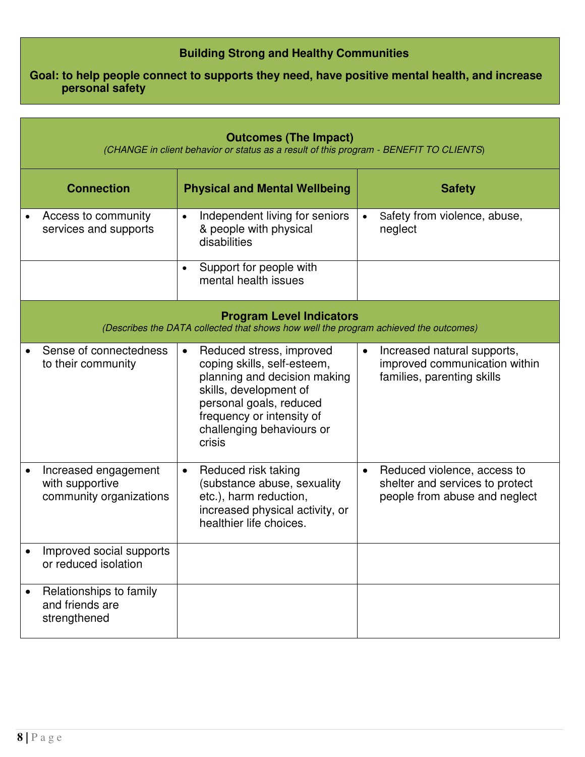#### **Building Strong and Healthy Communities**

**Goal: to help people connect to supports they need, have positive mental health, and increase personal safety**

| <b>Outcomes (The Impact)</b><br>(CHANGE in client behavior or status as a result of this program - BENEFIT TO CLIENTS)  |                                                                                                                                                                                                                               |                                                                                                              |  |  |  |  |
|-------------------------------------------------------------------------------------------------------------------------|-------------------------------------------------------------------------------------------------------------------------------------------------------------------------------------------------------------------------------|--------------------------------------------------------------------------------------------------------------|--|--|--|--|
| <b>Connection</b>                                                                                                       | <b>Physical and Mental Wellbeing</b>                                                                                                                                                                                          | <b>Safety</b>                                                                                                |  |  |  |  |
| Access to community<br>services and supports                                                                            | Independent living for seniors<br>$\bullet$<br>& people with physical<br>disabilities                                                                                                                                         | Safety from violence, abuse,<br>$\bullet$<br>neglect                                                         |  |  |  |  |
|                                                                                                                         | Support for people with<br>$\bullet$<br>mental health issues                                                                                                                                                                  |                                                                                                              |  |  |  |  |
| <b>Program Level Indicators</b><br>(Describes the DATA collected that shows how well the program achieved the outcomes) |                                                                                                                                                                                                                               |                                                                                                              |  |  |  |  |
| Sense of connectedness<br>to their community                                                                            | Reduced stress, improved<br>$\bullet$<br>coping skills, self-esteem,<br>planning and decision making<br>skills, development of<br>personal goals, reduced<br>frequency or intensity of<br>challenging behaviours or<br>crisis | Increased natural supports,<br>$\bullet$<br>improved communication within<br>families, parenting skills      |  |  |  |  |
| Increased engagement<br>with supportive<br>community organizations                                                      | Reduced risk taking<br>$\bullet$<br>(substance abuse, sexuality<br>etc.), harm reduction,<br>increased physical activity, or<br>healthier life choices.                                                                       | Reduced violence, access to<br>$\bullet$<br>shelter and services to protect<br>people from abuse and neglect |  |  |  |  |
| Improved social supports<br>or reduced isolation                                                                        |                                                                                                                                                                                                                               |                                                                                                              |  |  |  |  |
| Relationships to family<br>and friends are<br>strengthened                                                              |                                                                                                                                                                                                                               |                                                                                                              |  |  |  |  |